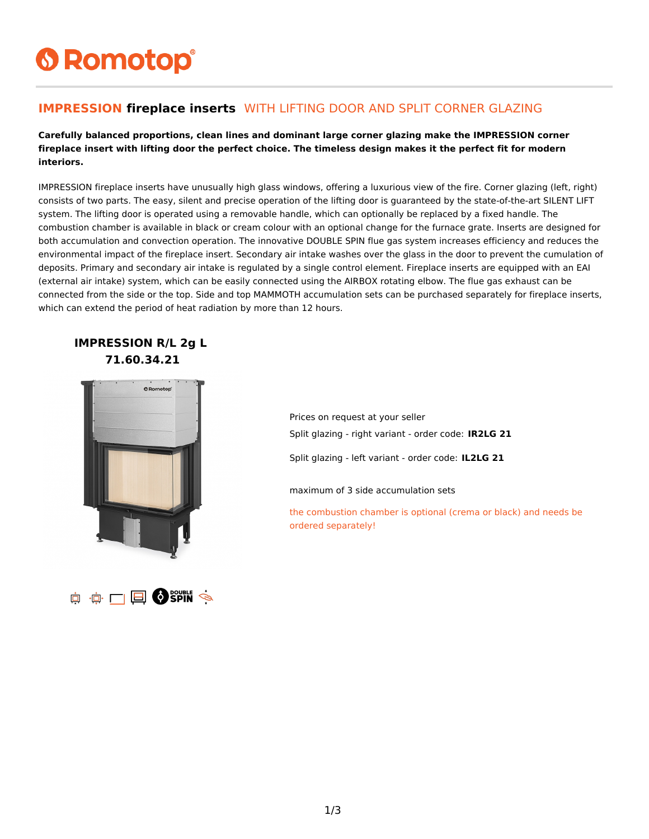# **6 Romotop®**

#### **IMPRESSION fireplace inserts** WITH LIFTING DOOR AND SPLIT CORNER GLAZING

**Carefully balanced proportions, clean lines and dominant large corner glazing make the IMPRESSION corner fireplace insert with lifting door the perfect choice. The timeless design makes it the perfect fit for modern interiors.**

IMPRESSION fireplace inserts have unusually high glass windows, offering a luxurious view of the fire. Corner glazing (left, right) consists of two parts. The easy, silent and precise operation of the lifting door is guaranteed by the state-of-the-art SILENT LIFT system. The lifting door is operated using a removable handle, which can optionally be replaced by a fixed handle. The combustion chamber is available in black or cream colour with an optional change for the furnace grate. Inserts are designed for both accumulation and convection operation. The innovative DOUBLE SPIN flue gas system increases efficiency and reduces the environmental impact of the fireplace insert. Secondary air intake washes over the glass in the door to prevent the cumulation of deposits. Primary and secondary air intake is regulated by a single control element. Fireplace inserts are equipped with an EAI (external air intake) system, which can be easily connected using the AIRBOX rotating elbow. The flue gas exhaust can be connected from the side or the top. Side and top MAMMOTH accumulation sets can be purchased separately for fireplace inserts, which can extend the period of heat radiation by more than 12 hours.

#### **IMPRESSION R/L 2g L 71.60.34.21**



Prices on request at your seller Split glazing - right variant - order code: **IR2LG 21**

Split glazing - left variant - order code: **IL2LG 21**

maximum of 3 side accumulation sets

the combustion chamber is optional (crema or black) and needs be ordered separately!

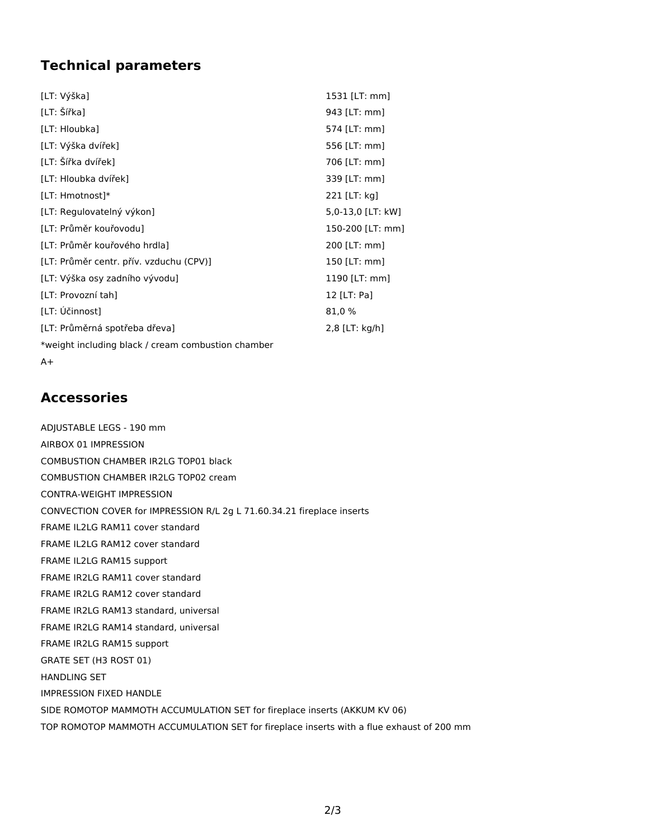### **Technical parameters**

| [LT: Výška]                                        | 1531 [LT: mm]     |
|----------------------------------------------------|-------------------|
| [LT: Šířka]                                        | 943 [LT: mm]      |
| [LT: Hloubka]                                      | 574 [LT: mm]      |
| [LT: Výška dvířek]                                 | 556 [LT: mm]      |
| [LT: Šířka dvířek]                                 | 706 [LT: mm]      |
| [LT: Hloubka dvířek]                               | 339 [LT: mm]      |
| [LT: Hmotnost]*                                    | 221 [LT: kg]      |
| [LT: Regulovatelný výkon]                          | 5,0-13,0 [LT: kW] |
| [LT: Průměr kouřovodu]                             | 150-200 [LT: mm]  |
| [LT: Průměr kouřového hrdla]                       | 200 [LT: mm]      |
| [LT: Průměr centr. přív. vzduchu (CPV)]            | 150 [LT: mm]      |
| [LT: Výška osy zadního vývodu]                     | 1190 [LT: mm]     |
| [LT: Provozní tah]                                 | 12 [LT: Pa]       |
| [LT: Účinnost]                                     | 81,0 %            |
| [LT: Průměrná spotřeba dřeva]                      | 2,8 [LT: kg/h]    |
| *weight including black / cream combustion chamber |                   |
|                                                    |                   |

 $A+$ 

#### **Accessories**

ADJUSTABLE LEGS - 190 mm AIRBOX 01 IMPRESSION COMBUSTION CHAMBER IR2LG TOP01 black COMBUSTION CHAMBER IR2LG TOP02 cream CONTRA-WEIGHT IMPRESSION CONVECTION COVER for IMPRESSION R/L 2g L 71.60.34.21 fireplace inserts FRAME IL2LG RAM11 cover standard FRAME IL2LG RAM12 cover standard FRAME IL2LG RAM15 support FRAME IR2LG RAM11 cover standard FRAME IR2LG RAM12 cover standard FRAME IR2LG RAM13 standard, universal FRAME IR2LG RAM14 standard, universal FRAME IR2LG RAM15 support GRATE SET (H3 ROST 01) HANDLING SET IMPRESSION FIXED HANDLE SIDE ROMOTOP MAMMOTH ACCUMULATION SET for fireplace inserts (AKKUM KV 06) TOP ROMOTOP MAMMOTH ACCUMULATION SET for fireplace inserts with a flue exhaust of 200 mm